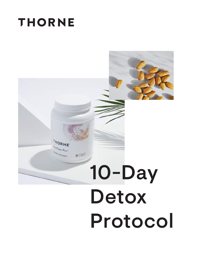## **THORNE**

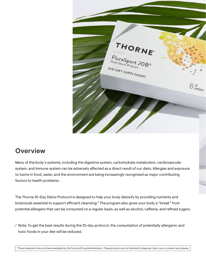

## **Overview**

Many of the body's systems, including the digestive system, carbohydrate metabolism, cardiovascular system, and immune system can be adversely affected as a direct result of our diets. Allergies and exposure to toxins in food, water, and the environment are being increasingly recognized as major contributing factors to health problems.

The Thorne 10-Day Detox Protocol is designed to help your body detoxify by providing nutrients and botanicals essential to support efficient cleansing.\* The program also gives your body a "break" from potential allergens that can be consumed on a regular basis, as well as alcohol, caffeine, and refined sugars.

⁄ Note: To get the best results during the 10-day protocol, the consumption of potentially allergenic and toxic foods in your diet will be reduced.

\*These statements have not been evaluated by the Food and Drug Administration. These products are not intended to diagnose, treat, cure, or prevent any disease.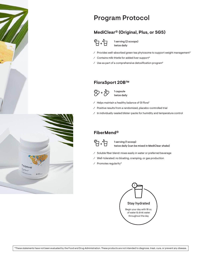



## Program Protocol

#### **MediClear® (Original, Plus, or SGS)**



1 serving (2 scoops) twice daily

⁄ Provides well-absorbed green tea phytosome to support weight management\*

- ⁄ Contains milk thistle for added liver support\*
- ⁄ Use as part of a comprehensive detoxification program\*

#### **FloraSport 20B™**



1 capsule twice daily

- ⁄ Helps maintain a healthy balance of GI flora\*
- ⁄ Positive results from a randomized, placebo-controlled trial
- ⁄ In individually-sealed blister-packs for humidity and temperature control

#### **FiberMend®**



1 serving (1 scoop) twice daily (can be mixed in MediClear shake)

- ⁄ Soluble fiber blend: mixes easily in water or preferred beverage
- ⁄ Well-tolerated: no bloating, cramping, or gas production
- ⁄ Promotes regularity\*



\*These statements have not been evaluated by the Food and Drug Administration. These products are not intended to diagnose, treat, cure, or prevent any disease.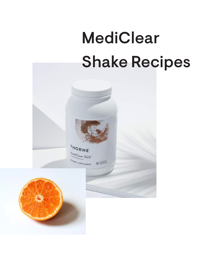# MediClear Shake Recipes



## HORNE<sup>T</sup>  $M_{\text{e-dic}}$

DIETARY SUPPLEMENT 888 WEI WI 38,2 02

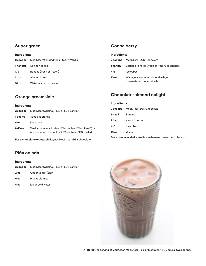#### **Super green**

#### **Ingredients**

| 2 scoops         | MediClear® or MediClear-SGS® Vanilla |
|------------------|--------------------------------------|
|                  | <b>1 handful</b> Spinach or kale     |
| 1/2              | Banana (fresh or frozen)             |
| 1 tbsp           | Almond butter                        |
| 10 <sub>oz</sub> | Water or coconut water               |
|                  |                                      |

#### **Orange creamsicle**

#### **Ingredients**

| 2 scoops | MediClear (Original, Plus, or SGS Vanilla)                                                                 |
|----------|------------------------------------------------------------------------------------------------------------|
| 1 peeled | Seedless orange                                                                                            |
| $4 - 6$  | Ice cubes                                                                                                  |
| 8-10 oz  | Vanilla coconut milk (MediClear or MediClear Plus®) or<br>unsweetened coconut milk (MediClear-SGS vanilla) |

**For a chocolate-orange shake,** use MediClear-SGS chocolate

#### **Piña colada**

#### **Ingredients**

| 2 scoops        | MediClear (Original, Plus, or SGS Vanilla) |
|-----------------|--------------------------------------------|
| 2 <sub>oz</sub> | Coconut milk (plain)                       |

| 6 oz | Pineapple juice |
|------|-----------------|

**4 oz** Ice or cold water

#### **Cocoa berry**

#### **Ingredients**

| 2 scoops  | MediClear-SGS Chocolate                                        |
|-----------|----------------------------------------------------------------|
| 1 handful | Berries of choice (fresh or frozen) or cherries                |
| 4-6       | Ice cubes                                                      |
| 10 oz     | Water, unsweetened almond milk, or<br>unsweetened coconut milk |

#### **Chocolate-almond delight**

#### **Ingredients**

|         | 2 scoops MediClear-SGS Chocolate |
|---------|----------------------------------|
| 1 small | Banana                           |
| 1 tbsp  | Almond butter                    |
| 4-6     | Ice cubes                        |
| 10 oz   | Water                            |
| -       |                                  |

**For a creamier shake,** use frozen banana (broken into pieces)

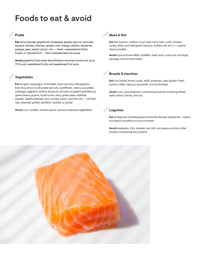## Foods to eat & avoid

#### **Fruits**

**Eat** citrus (except grapefruit), pineapple, apples, apricot, avocado, banana, berries, cherries, grapes, kiwi, mango, melons, nectarine, papaya, pear, peach, plums, etc. — fresh, unsweetened dried, frozen, or canned fruit — limit unsweetened fruit juices

**Avoid** grapefruit (can alter detoxification enzyme function for up to 72 hours), sweetened fruits, and sweetened fruit juice

#### **Vegetables**

**Eat** arugula, asparagus, artichokes, bean sprouts, bell peppers, bok choy, broccoli, Brussels sprouts, cauliflower, celery, cucumber, cabbage, eggplant, endive, escarole, all types of greens and lettuce, green beans, jicama, mushrooms, okra, green peas, radishes, squash, sweet potatoes, taro, turnips, yams, zucchini, etc. — all fresh raw, steamed, grilled, sautéed, roasted, or juiced

**Avoid** corn, tomato, tomato sauce, and any creamed vegetables **Legumes** 

#### **Meat & fish**

**Eat** fish (salmon, halibut, trout, sole, mahi mahi, cod), chicken, turkey, lamb, and wild game (venison, buffalo, elk, etc.) — organic when possible.

**Avoid** tuna and swordfish, shellfish, beef, pork, cold cuts, hot dogs, sausage, and canned meats

#### **Breads & starches**

**Eat** rice (white, brown, sushi, wild), potatoes, oats (gluten-free), quinoa, millet, tapioca, amaranth, and buckwheat

**Avoid** corn, plus all gluten-containing products including wheat, spelt, kamut, barley, and rye

**Eat** all legumes including peas and lentils (except soybeans) — beans provide an excellent source of protein

**Avoid** soybeans, tofu, tempeh, soy milk, soy sauce, and any other product containing soy proteins

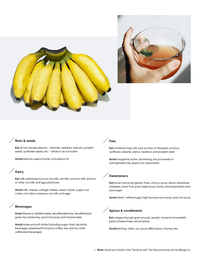



#### **Nuts & seeds**

**Eat** all nuts except peanuts – almonds, cashews, walnuts, pumpkin seeds, sunflower seeds, etc. – whole or as nut butter

**Avoid** peanuts, peanut butter, and peanut oil

#### **Dairy**

**Eat** milk substitutes such as rice milk, oat milk, coconut milk, almond or other nut milk, and egg substitutes

**Avoid** milk, cheese, cottage cheese, cream, butter, yogurt, ice cream, non-dairy creamers, soy milk, and eggs

#### **Beverages**

**Drink** filtered or distilled water, decaffeinated tea, decaffeinated green tea, herbal tea, pure fruit juices, and mineral water

**Avoid** sodas and soft drinks (including sugar-free), alcoholic beverages, sweetened fruit juice, coffee, tea, and any other caffeinated beverages

#### **Fats**

**Eat** unrefined virgin oils such as olive oil, flaxseed, coconut, sunflower, sesame, walnut, hazelnut, and pumpkin seed

**Avoid** margarine, butter, shortening, any processed or hydrogenated oils, peanut oil, mayonnaise

#### **Sweeteners**

**Eat** brown rice syrup (gluten-free), chicory syrup, stevia, blackstrap molasses, monk fruit, pure maple syrup, honey, and evaporated cane juice sugar

**Avoid** white / refined sugar, high fructose corn syrup, and corn syrup

#### **Spices & condiments**

**Eat** vinegars (except grain source), wasabi, mustard, horseradish, pesto (cheese free), and all spices

**Avoid** ketchup, relish, soy sauce, BBQ sauce, chutney, etc.